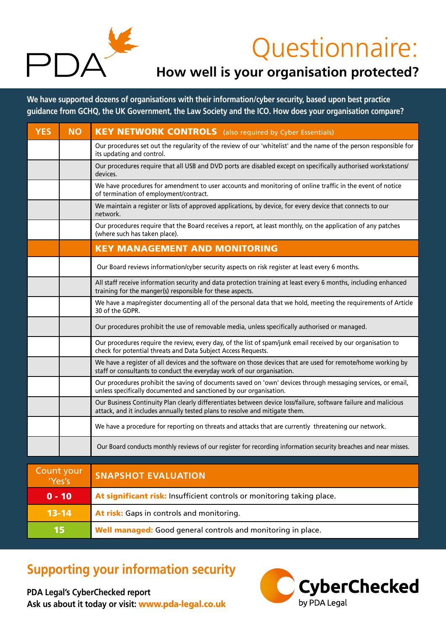

# Questionnaire:

### **How well is your organisation protected?**

**We have supported dozens of organisations with their information/cyber security, based upon best practice guidance from GCHQ, the UK Government, the Law Society and the ICO. How does your organisation compare?**

| <b>YES</b>           | <b>NO</b> | <b>KEY NETWORK CONTROLS</b> (also required by Cyber Essentials)                                                                                                                                |
|----------------------|-----------|------------------------------------------------------------------------------------------------------------------------------------------------------------------------------------------------|
|                      |           | Our procedures set out the regularity of the review of our 'whitelist' and the name of the person responsible for<br>its updating and control.                                                 |
|                      |           | Our procedures require that all USB and DVD ports are disabled except on specifically authorised workstations/<br>devices.                                                                     |
|                      |           | We have procedures for amendment to user accounts and monitoring of online traffic in the event of notice<br>of termination of employment/contract.                                            |
|                      |           | We maintain a register or lists of approved applications, by device, for every device that connects to our<br>network.                                                                         |
|                      |           | Our procedures require that the Board receives a report, at least monthly, on the application of any patches<br>(where such has taken place).                                                  |
|                      |           | <b>KEY MANAGEMENT AND MONITORING</b>                                                                                                                                                           |
|                      |           | Our Board reviews information/cyber security aspects on risk register at least every 6 months.                                                                                                 |
|                      |           | All staff receive information security and data protection training at least every 6 months, including enhanced<br>training for the manger(s) responsible for these aspects.                   |
|                      |           | We have a map/register documenting all of the personal data that we hold, meeting the requirements of Article<br>30 of the GDPR.                                                               |
|                      |           | Our procedures prohibit the use of removable media, unless specifically authorised or managed.                                                                                                 |
|                      |           | Our procedures require the review, every day, of the list of spam/junk email received by our organisation to<br>check for potential threats and Data Subject Access Requests.                  |
|                      |           | We have a register of all devices and the software on those devices that are used for remote/home working by<br>staff or consultants to conduct the everyday work of our organisation.         |
|                      |           | Our procedures prohibit the saving of documents saved on 'own' devices through messaging services, or email,<br>unless specifically documented and sanctioned by our organisation.             |
|                      |           | Our Business Continuity Plan clearly differentiates between device loss/failure, software failure and malicious<br>attack, and it includes annually tested plans to resolve and mitigate them. |
|                      |           | We have a procedure for reporting on threats and attacks that are currently threatening our network.                                                                                           |
|                      |           | Our Board conducts monthly reviews of our register for recording information security breaches and near misses.                                                                                |
|                      |           |                                                                                                                                                                                                |
| Count your<br>'Yes's |           | <b>SNAPSHOT EVALUATION</b>                                                                                                                                                                     |

| l'Yes's   | <b>SNAFSHOT EVALUATION</b>                                             |  |  |
|-----------|------------------------------------------------------------------------|--|--|
| $0 - 10$  | At significant risk: Insufficient controls or monitoring taking place. |  |  |
| $13 - 14$ | At risk: Gaps in controls and monitoring.                              |  |  |
| /15/      | <b>Well managed:</b> Good general controls and monitoring in place.    |  |  |

## **Supporting your information security**

**PDA Legal's CyberChecked report Ask us about it today or visit:** www.pda-legal.co.uk